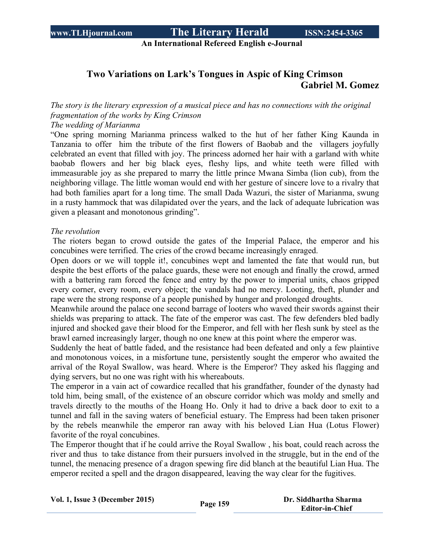# **www.TLHjournal.com The Literary Herald ISSN:2454-3365**

**An International Refereed English e-Journal**

### **Two Variations on Lark's Tongues in Aspic of King Crimson Gabriel M. Gomez**

*The story is the literary expression of a musical piece and has no connections with the original fragmentation of the works by King Crimson*

*The wedding of Marianma*

"One spring morning Marianma princess walked to the hut of her father King Kaunda in Tanzania to offer him the tribute of the first flowers of Baobab and the villagers joyfully celebrated an event that filled with joy. The princess adorned her hair with a garland with white baobab flowers and her big black eyes, fleshy lips, and white teeth were filled with immeasurable joy as she prepared to marry the little prince Mwana Simba (lion cub), from the neighboring village. The little woman would end with her gesture of sincere love to a rivalry that had both families apart for a long time. The small Dada Wazuri, the sister of Marianma, swung in a rusty hammock that was dilapidated over the years, and the lack of adequate lubrication was given a pleasant and monotonous grinding".

#### *The revolution*

The rioters began to crowd outside the gates of the Imperial Palace, the emperor and his concubines were terrified. The cries of the crowd became increasingly enraged.

Open doors or we will topple it!, concubines wept and lamented the fate that would run, but despite the best efforts of the palace guards, these were not enough and finally the crowd, armed with a battering ram forced the fence and entry by the power to imperial units, chaos gripped every corner, every room, every object; the vandals had no mercy. Looting, theft, plunder and rape were the strong response of a people punished by hunger and prolonged droughts.

Meanwhile around the palace one second barrage of looters who waved their swords against their shields was preparing to attack. The fate of the emperor was cast. The few defenders bled badly injured and shocked gave their blood for the Emperor, and fell with her flesh sunk by steel as the brawl earned increasingly larger, though no one knew at this point where the emperor was.

Suddenly the heat of battle faded, and the resistance had been defeated and only a few plaintive and monotonous voices, in a misfortune tune, persistently sought the emperor who awaited the arrival of the Royal Swallow, was heard. Where is the Emperor? They asked his flagging and dying servers, but no one was right with his whereabouts.

The emperor in a vain act of cowardice recalled that his grandfather, founder of the dynasty had told him, being small, of the existence of an obscure corridor which was moldy and smelly and travels directly to the mouths of the Hoang Ho. Only it had to drive a back door to exit to a tunnel and fall in the saving waters of beneficial estuary. The Empress had been taken prisoner by the rebels meanwhile the emperor ran away with his beloved Lian Hua (Lotus Flower) favorite of the royal concubines.

The Emperor thought that if he could arrive the Royal Swallow , his boat, could reach across the river and thus to take distance from their pursuers involved in the struggle, but in the end of the tunnel, the menacing presence of a dragon spewing fire did blanch at the beautiful Lian Hua. The emperor recited a spell and the dragon disappeared, leaving the way clear for the fugitives.

| Vol. 1, Issue 3 (December 2015) | Page 159 | Dr. Siddhartha Sharma  |
|---------------------------------|----------|------------------------|
|                                 |          | <b>Editor-in-Chief</b> |